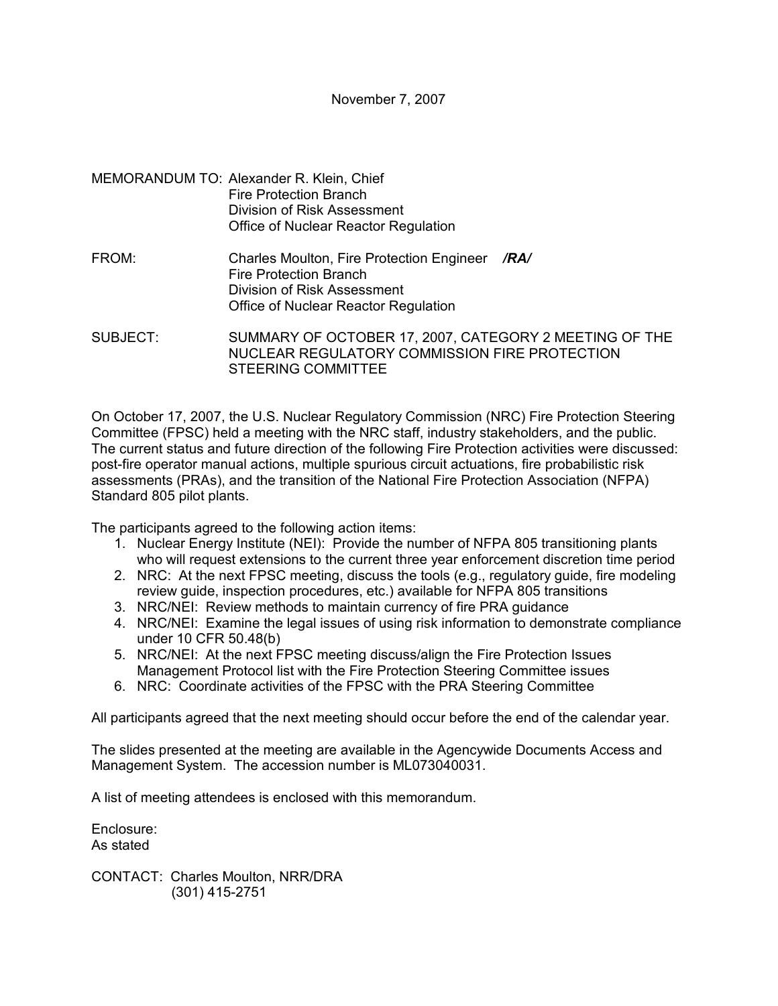- MEMORANDUM TO: Alexander R. Klein, Chief Fire Protection Branch Division of Risk Assessment Office of Nuclear Reactor Regulation
- FROM: Charles Moulton, Fire Protection Engineer */RA/* Fire Protection Branch Division of Risk Assessment Office of Nuclear Reactor Regulation

SUBJECT: SUMMARY OF OCTOBER 17, 2007, CATEGORY 2 MEETING OF THE NUCLEAR REGULATORY COMMISSION FIRE PROTECTION STEERING COMMITTEE

On October 17, 2007, the U.S. Nuclear Regulatory Commission (NRC) Fire Protection Steering Committee (FPSC) held a meeting with the NRC staff, industry stakeholders, and the public. The current status and future direction of the following Fire Protection activities were discussed: post-fire operator manual actions, multiple spurious circuit actuations, fire probabilistic risk assessments (PRAs), and the transition of the National Fire Protection Association (NFPA) Standard 805 pilot plants.

The participants agreed to the following action items:

- 1. Nuclear Energy Institute (NEI): Provide the number of NFPA 805 transitioning plants who will request extensions to the current three year enforcement discretion time period
- 2. NRC: At the next FPSC meeting, discuss the tools (e.g., regulatory guide, fire modeling review guide, inspection procedures, etc.) available for NFPA 805 transitions
- 3. NRC/NEI: Review methods to maintain currency of fire PRA guidance
- 4. NRC/NEI: Examine the legal issues of using risk information to demonstrate compliance under 10 CFR 50.48(b)
- 5. NRC/NEI: At the next FPSC meeting discuss/align the Fire Protection Issues Management Protocol list with the Fire Protection Steering Committee issues
- 6. NRC: Coordinate activities of the FPSC with the PRA Steering Committee

All participants agreed that the next meeting should occur before the end of the calendar year.

The slides presented at the meeting are available in the Agencywide Documents Access and Management System. The accession number is ML073040031.

A list of meeting attendees is enclosed with this memorandum.

Enclosure: As stated

CONTACT: Charles Moulton, NRR/DRA (301) 415-2751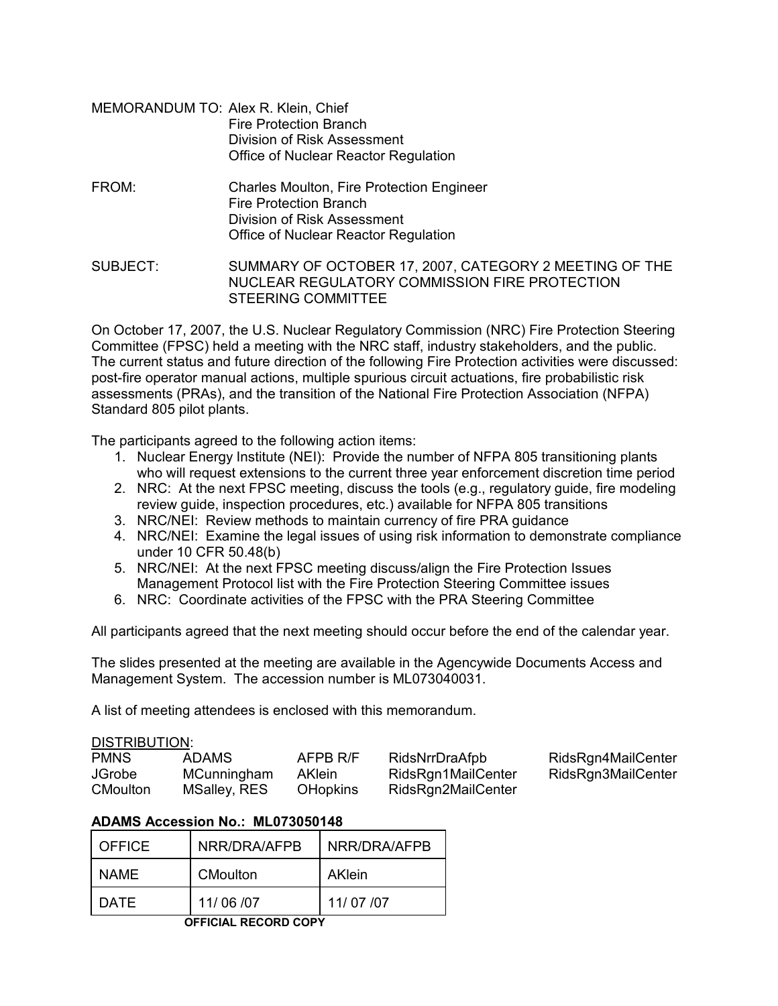- MEMORANDUM TO: Alex R. Klein, Chief Fire Protection Branch Division of Risk Assessment Office of Nuclear Reactor Regulation
- FROM: Charles Moulton, Fire Protection Engineer Fire Protection Branch Division of Risk Assessment Office of Nuclear Reactor Regulation

SUBJECT: SUMMARY OF OCTOBER 17, 2007, CATEGORY 2 MEETING OF THE NUCLEAR REGULATORY COMMISSION FIRE PROTECTION STEERING COMMITTEE

On October 17, 2007, the U.S. Nuclear Regulatory Commission (NRC) Fire Protection Steering Committee (FPSC) held a meeting with the NRC staff, industry stakeholders, and the public. The current status and future direction of the following Fire Protection activities were discussed: post-fire operator manual actions, multiple spurious circuit actuations, fire probabilistic risk assessments (PRAs), and the transition of the National Fire Protection Association (NFPA) Standard 805 pilot plants.

The participants agreed to the following action items:

- 1. Nuclear Energy Institute (NEI): Provide the number of NFPA 805 transitioning plants who will request extensions to the current three year enforcement discretion time period
- 2. NRC: At the next FPSC meeting, discuss the tools (e.g., regulatory guide, fire modeling review guide, inspection procedures, etc.) available for NFPA 805 transitions
- 3. NRC/NEI: Review methods to maintain currency of fire PRA guidance
- 4. NRC/NEI: Examine the legal issues of using risk information to demonstrate compliance under 10 CFR 50.48(b)
- 5. NRC/NEI: At the next FPSC meeting discuss/align the Fire Protection Issues Management Protocol list with the Fire Protection Steering Committee issues
- 6. NRC: Coordinate activities of the FPSC with the PRA Steering Committee

All participants agreed that the next meeting should occur before the end of the calendar year.

The slides presented at the meeting are available in the Agencywide Documents Access and Management System. The accession number is ML073040031.

A list of meeting attendees is enclosed with this memorandum.

| <b>PMNS</b>     | ADAMS        | AFPB R/F        | RidsNrrDraAfpb     | RidsRgn4MailCenter |
|-----------------|--------------|-----------------|--------------------|--------------------|
| <b>JGrobe</b>   | MCunningham  | <b>AKlein</b>   | RidsRgn1MailCenter | RidsRgn3MailCenter |
| <b>CMoulton</b> | MSalley, RES | <b>OHopkins</b> | RidsRgn2MailCenter |                    |

# **ADAMS Accession No.: ML073050148**

| <b>OFFICE</b>        | NRR/DRA/AFPB    | NRR/DRA/AFPB |  |  |  |
|----------------------|-----------------|--------------|--|--|--|
| NAME                 | <b>CMoulton</b> | AKlein       |  |  |  |
| DATE                 | 11/06/07        | 11/07/07     |  |  |  |
| OEEICIAI DECODO CODV |                 |              |  |  |  |

 **OFFICIAL RECORD COPY**